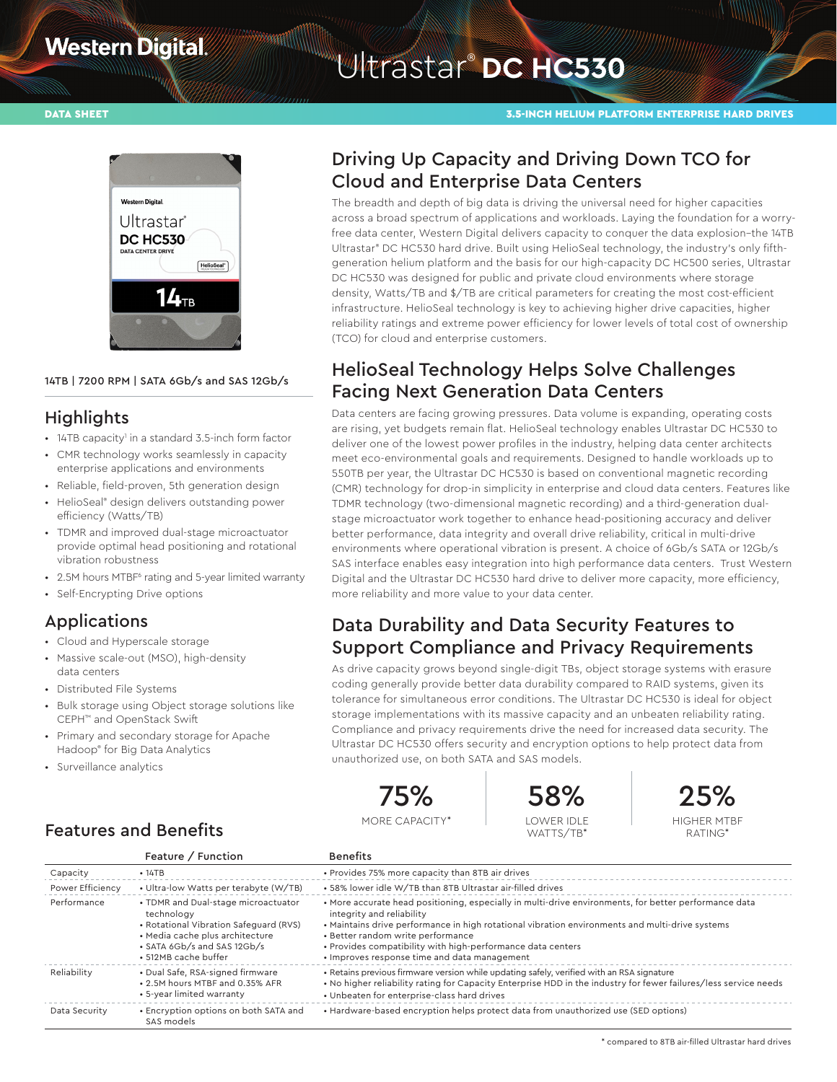# **Western Digital**

# Witrastar<sup>®</sup> DC HC530

#### DATA SHEET 3.5-INCH HELIUM PLATFORM ENTERPRISE HARD DRIVES



#### 14TB | 7200 RPM | SATA 6Gb/s and SAS 12Gb/s

#### **Highlights**

- 14TB capacity<sup>1</sup> in a standard 3.5-inch form factor
- CMR technology works seamlessly in capacity enterprise applications and environments
- Reliable, field-proven, 5th generation design
- HelioSeal® design delivers outstanding power efficiency (Watts/TB)
- TDMR and improved dual-stage microactuator provide optimal head positioning and rotational vibration robustness
- 2.5M hours MTBF<sup>6</sup> rating and 5-year limited warranty
- Self-Encrypting Drive options

### Applications

- Cloud and Hyperscale storage
- Massive scale-out (MSO), high-density data centers
- Distributed File Systems
- Bulk storage using Object storage solutions like CEPH™ and OpenStack Swift
- Primary and secondary storage for Apache Hadoop® for Big Data Analytics

Features and Benefits

• Surveillance analytics

# Driving Up Capacity and Driving Down TCO for Cloud and Enterprise Data Centers

The breadth and depth of big data is driving the universal need for higher capacities across a broad spectrum of applications and workloads. Laying the foundation for a worryfree data center, Western Digital delivers capacity to conquer the data explosion–the 14TB Ultrastar® DC HC530 hard drive. Built using HelioSeal technology, the industry's only fifthgeneration helium platform and the basis for our high-capacity DC HC500 series, Ultrastar DC HC530 was designed for public and private cloud environments where storage density, Watts/TB and \$/TB are critical parameters for creating the most cost-efficient infrastructure. HelioSeal technology is key to achieving higher drive capacities, higher reliability ratings and extreme power efficiency for lower levels of total cost of ownership (TCO) for cloud and enterprise customers.

# HelioSeal Technology Helps Solve Challenges Facing Next Generation Data Centers

Data centers are facing growing pressures. Data volume is expanding, operating costs are rising, yet budgets remain flat. HelioSeal technology enables Ultrastar DC HC530 to deliver one of the lowest power profiles in the industry, helping data center architects meet eco-environmental goals and requirements. Designed to handle workloads up to 550TB per year, the Ultrastar DC HC530 is based on conventional magnetic recording (CMR) technology for drop-in simplicity in enterprise and cloud data centers. Features like TDMR technology (two-dimensional magnetic recording) and a third-generation dualstage microactuator work together to enhance head-positioning accuracy and deliver better performance, data integrity and overall drive reliability, critical in multi-drive environments where operational vibration is present. A choice of 6Gb/s SATA or 12Gb/s SAS interface enables easy integration into high performance data centers. Trust Western Digital and the Ultrastar DC HC530 hard drive to deliver more capacity, more efficiency, more reliability and more value to your data center.

# Data Durability and Data Security Features to Support Compliance and Privacy Requirements

As drive capacity grows beyond single-digit TBs, object storage systems with erasure coding generally provide better data durability compared to RAID systems, given its tolerance for simultaneous error conditions. The Ultrastar DC HC530 is ideal for object storage implementations with its massive capacity and an unbeaten reliability rating. Compliance and privacy requirements drive the need for increased data security. The Ultrastar DC HC530 offers security and encryption options to help protect data from unauthorized use, on both SATA and SAS models.



MORE CAPACITY\*





RATING\*

|                  | Feature / Function                                                                                                                                                                    | <b>Benefits</b>                                                                                                                                                                                                                                                                                                                                                                           |
|------------------|---------------------------------------------------------------------------------------------------------------------------------------------------------------------------------------|-------------------------------------------------------------------------------------------------------------------------------------------------------------------------------------------------------------------------------------------------------------------------------------------------------------------------------------------------------------------------------------------|
| Capacity         | • 14TB                                                                                                                                                                                | . Provides 75% more capacity than 8TB air drives                                                                                                                                                                                                                                                                                                                                          |
| Power Efficiency | • Ultra-low Watts per terabyte (W/TB)                                                                                                                                                 | • 58% lower idle W/TB than 8TB Ultrastar air-filled drives                                                                                                                                                                                                                                                                                                                                |
| Performance      | • TDMR and Dual-stage microactuator<br>technology<br>• Rotational Vibration Safequard (RVS)<br>· Media cache plus architecture<br>• SATA 6Gb/s and SAS 12Gb/s<br>• 512MB cache buffer | • More accurate head positioning, especially in multi-drive environments, for better performance data<br>integrity and reliability<br>. Maintains drive performance in high rotational vibration environments and multi-drive systems<br>• Better random write performance<br>. Provides compatibility with high-performance data centers<br>• Improves response time and data management |
| Reliability      | · Dual Safe, RSA-signed firmware<br>. 2.5M hours MTBF and 0.35% AFR<br>• 5-year limited warranty                                                                                      | • Retains previous firmware version while updating safely, verified with an RSA signature<br>• No higher reliability rating for Capacity Enterprise HDD in the industry for fewer failures/less service needs<br>• Unbeaten for enterprise-class hard drives                                                                                                                              |
| Data Security    | • Encryption options on both SATA and<br>SAS models                                                                                                                                   | • Hardware-based encryption helps protect data from unauthorized use (SED options)                                                                                                                                                                                                                                                                                                        |

\* compared to 8TB air-filled Ultrastar hard drives